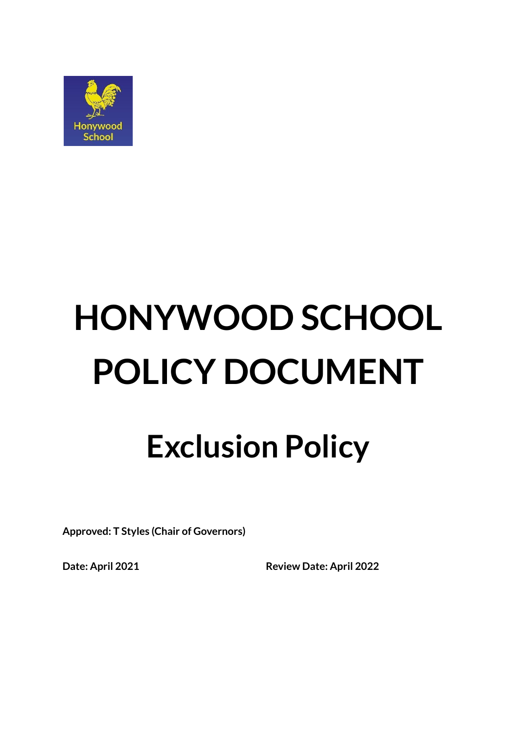

# **HONYWOOD SCHOOL POLICY DOCUMENT**

# **Exclusion Policy**

**Approved: T Styles (Chair of Governors)**

**Date: April 2021 Review Date: April 2022**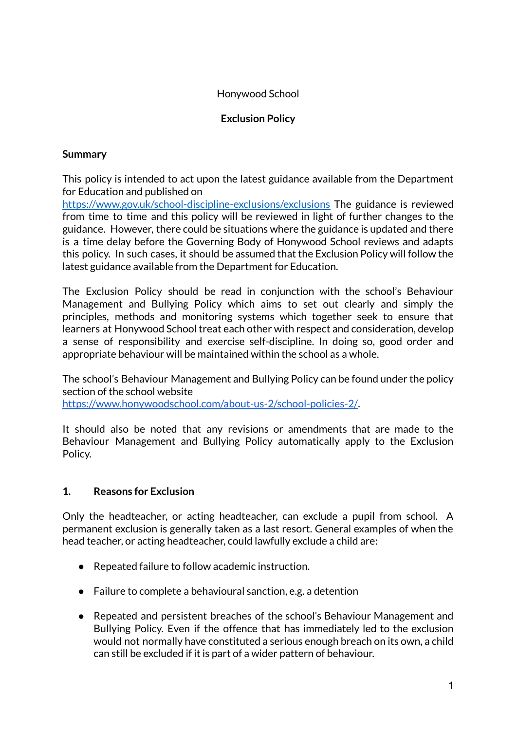# Honywood School

# **Exclusion Policy**

#### **Summary**

This policy is intended to act upon the latest guidance available from the Department for Education and published on

<https://www.gov.uk/school-discipline-exclusions/exclusions> The guidance is reviewed from time to time and this policy will be reviewed in light of further changes to the guidance. However, there could be situations where the guidance is updated and there is a time delay before the Governing Body of Honywood School reviews and adapts this policy. In such cases, it should be assumed that the Exclusion Policy will follow the latest guidance available from the Department for Education.

The Exclusion Policy should be read in conjunction with the school's Behaviour Management and Bullying Policy which aims to set out clearly and simply the principles, methods and monitoring systems which together seek to ensure that learners at Honywood School treat each other with respect and consideration, develop a sense of responsibility and exercise self-discipline. In doing so, good order and appropriate behaviour will be maintained within the school as a whole.

The school's Behaviour Management and Bullying Policy can be found under the policy section of the school website

[https://www.honywoodschool.com/about-us-2/school-policies-2/.](https://www.honywoodschool.com/about-us-2/school-policies-2/)

It should also be noted that any revisions or amendments that are made to the Behaviour Management and Bullying Policy automatically apply to the Exclusion Policy.

#### **1. Reasons for Exclusion**

Only the headteacher, or acting headteacher, can exclude a pupil from school. A permanent exclusion is generally taken as a last resort. General examples of when the head teacher, or acting headteacher, could lawfully exclude a child are:

- Repeated failure to follow academic instruction.
- Failure to complete a behavioural sanction, e.g. a detention
- Repeated and persistent breaches of the school's Behaviour Management and Bullying Policy. Even if the offence that has immediately led to the exclusion would not normally have constituted a serious enough breach on its own, a child can still be excluded if it is part of a wider pattern of behaviour.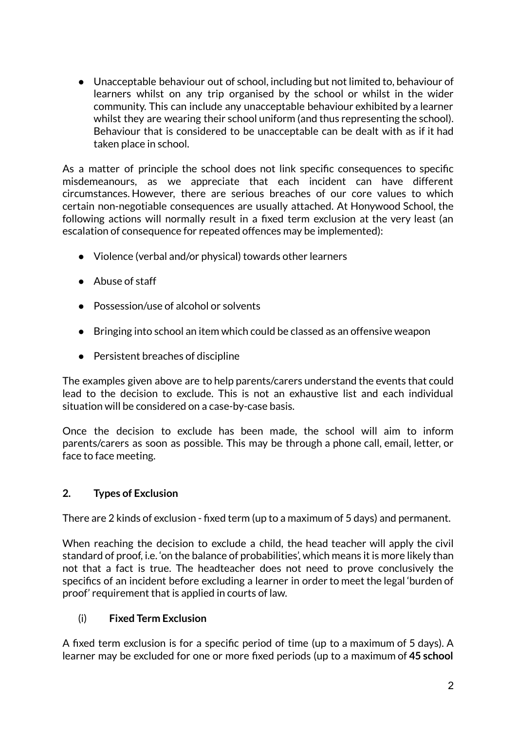● Unacceptable behaviour out of school, including but not limited to, behaviour of learners whilst on any trip organised by the school or whilst in the wider community. This can include any unacceptable behaviour exhibited by a learner whilst they are wearing their school uniform (and thus representing the school). Behaviour that is considered to be unacceptable can be dealt with as if it had taken place in school.

As a matter of principle the school does not link specific consequences to specific misdemeanours, as we appreciate that each incident can have different circumstances. However, there are serious breaches of our core values to which certain non-negotiable consequences are usually attached. At Honywood School, the following actions will normally result in a fixed term exclusion at the very least (an escalation of consequence for repeated offences may be implemented):

- Violence (verbal and/or physical) towards other learners
- Abuse of staff
- Possession/use of alcohol or solvents
- Bringing into school an item which could be classed as an offensive weapon
- Persistent breaches of discipline

The examples given above are to help parents/carers understand the events that could lead to the decision to exclude. This is not an exhaustive list and each individual situation will be considered on a case-by-case basis.

Once the decision to exclude has been made, the school will aim to inform parents/carers as soon as possible. This may be through a phone call, email, letter, or face to face meeting.

#### **2. Types of Exclusion**

There are 2 kinds of exclusion - fixed term (up to a maximum of 5 days) and permanent.

When reaching the decision to exclude a child, the head teacher will apply the civil standard of proof, i.e. 'on the balance of probabilities', which means it is more likely than not that a fact is true. The headteacher does not need to prove conclusively the specifics of an incident before excluding a learner in order to meet the legal 'burden of proof' requirement that is applied in courts of law.

#### (i) **Fixed Term Exclusion**

A fixed term exclusion is for a specific period of time (up to a maximum of 5 days). A learner may be excluded for one or more fixed periods (up to a maximum of **45 school**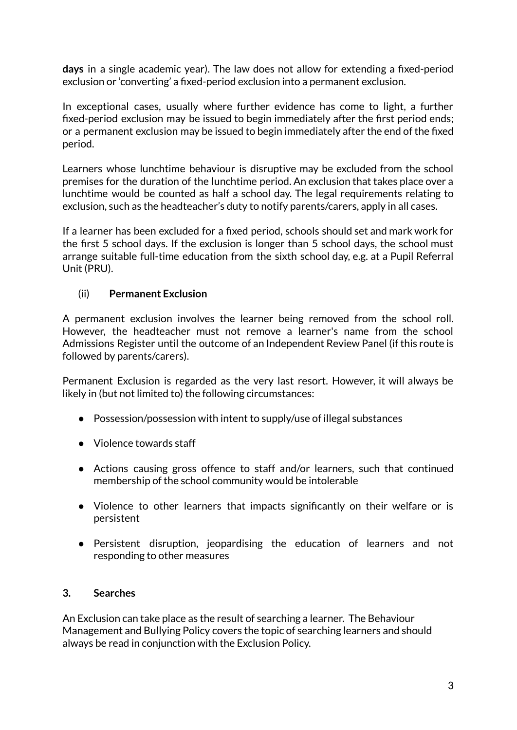**days** in a single academic year). The law does not allow for extending a fixed-period exclusion or 'converting' a fixed-period exclusion into a permanent exclusion.

In exceptional cases, usually where further evidence has come to light, a further fixed-period exclusion may be issued to begin immediately after the first period ends; or a permanent exclusion may be issued to begin immediately after the end of the fixed period.

Learners whose lunchtime behaviour is disruptive may be excluded from the school premises for the duration of the lunchtime period. An exclusion that takes place over a lunchtime would be counted as half a school day. The legal requirements relating to exclusion, such as the headteacher's duty to notify parents/carers, apply in all cases.

If a learner has been excluded for a fixed period, schools should set and mark work for the first 5 school days. If the exclusion is longer than 5 school days, the school must arrange suitable full-time education from the sixth school day, e.g. at a Pupil Referral Unit (PRU).

# (ii) **Permanent Exclusion**

A permanent exclusion involves the learner being removed from the school roll. However, the headteacher must not remove a learner's name from the school Admissions Register until the outcome of an Independent Review Panel (if this route is followed by parents/carers).

Permanent Exclusion is regarded as the very last resort. However, it will always be likely in (but not limited to) the following circumstances:

- Possession/possession with intent to supply/use of illegal substances
- Violence towards staff
- Actions causing gross offence to staff and/or learners, such that continued membership of the school community would be intolerable
- Violence to other learners that impacts significantly on their welfare or is persistent
- Persistent disruption, jeopardising the education of learners and not responding to other measures

#### **3. Searches**

An Exclusion can take place as the result of searching a learner. The Behaviour Management and Bullying Policy covers the topic of searching learners and should always be read in conjunction with the Exclusion Policy.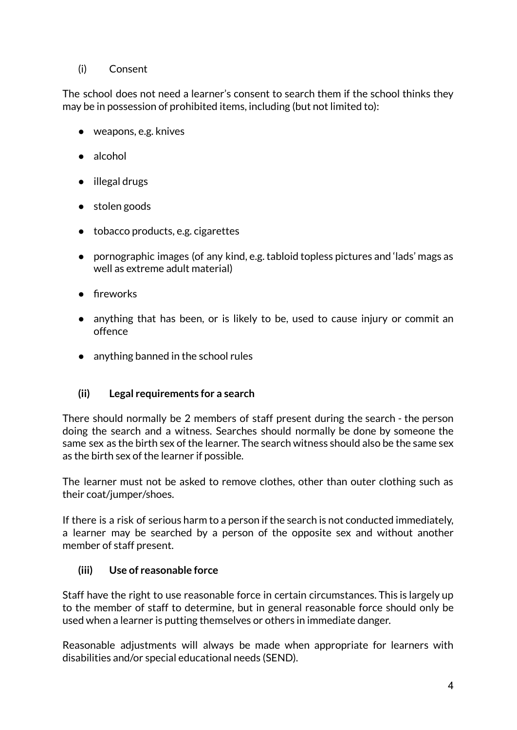# (i) Consent

The school does not need a learner's consent to search them if the school thinks they may be in possession of prohibited items, including (but not limited to):

- weapons, e.g. knives
- alcohol
- illegal drugs
- stolen goods
- tobacco products, e.g. cigarettes
- pornographic images (of any kind, e.g. tabloid topless pictures and 'lads' mags as well as extreme adult material)
- fireworks
- anything that has been, or is likely to be, used to cause injury or commit an offence
- anything banned in the school rules

# **(ii) Legal requirements for a search**

There should normally be 2 members of staff present during the search - the person doing the search and a witness. Searches should normally be done by someone the same sex as the birth sex of the learner. The search witness should also be the same sex as the birth sex of the learner if possible.

The learner must not be asked to remove clothes, other than outer clothing such as their coat/jumper/shoes.

If there is a risk of serious harm to a person if the search is not conducted immediately, a learner may be searched by a person of the opposite sex and without another member of staff present.

# **(iii) Use of reasonable force**

Staff have the right to use reasonable force in certain circumstances. This is largely up to the member of staff to determine, but in general reasonable force should only be used when a learner is putting themselves or others in immediate danger.

Reasonable adjustments will always be made when appropriate for learners with disabilities and/or special educational needs (SEND).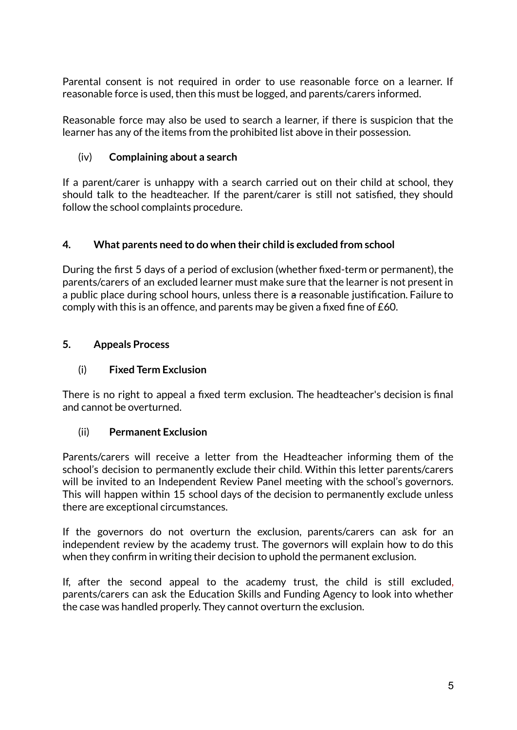Parental consent is not required in order to use reasonable force on a learner. If reasonable force is used, then this must be logged, and parents/carers informed.

Reasonable force may also be used to search a learner, if there is suspicion that the learner has any of the items from the prohibited list above in their possession.

# (iv) **Complaining about a search**

If a parent/carer is unhappy with a search carried out on their child at school, they should talk to the headteacher. If the parent/carer is still not satisfied, they should follow the school complaints procedure.

#### **4. What parents need to do when their child is excluded from school**

During the first 5 days of a period of exclusion (whether fixed-term or permanent), the parents/carers of an excluded learner must make sure that the learner is not present in a public place during school hours, unless there is a reasonable justification. Failure to comply with this is an offence, and parents may be given a fixed fine of £60.

# **5. Appeals Process**

#### (i) **Fixed Term Exclusion**

There is no right to appeal a fixed term exclusion. The headteacher's decision is final and cannot be overturned.

#### (ii) **Permanent Exclusion**

Parents/carers will receive a letter from the Headteacher informing them of the school's decision to permanently exclude their child. Within this letter parents/carers will be invited to an Independent Review Panel meeting with the school's governors. This will happen within 15 school days of the decision to permanently exclude unless there are exceptional circumstances.

If the governors do not overturn the exclusion, parents/carers can ask for an independent review by the academy trust. The governors will explain how to do this when they confirm in writing their decision to uphold the permanent exclusion.

If, after the second appeal to the academy trust, the child is still excluded, parents/carers can ask the Education Skills and Funding Agency to look into whether the case was handled properly. They cannot overturn the exclusion.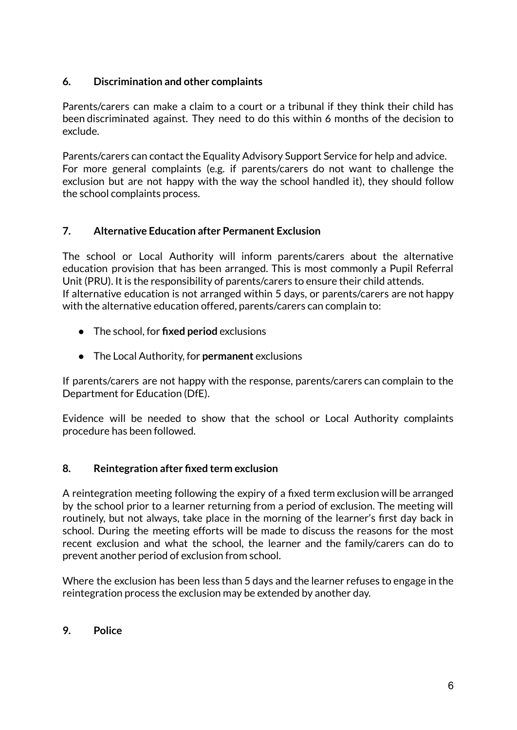# **6. Discrimination and other complaints**

Parents/carers can make a claim to a court or a tribunal if they think their child has been discriminated against. They need to do this within 6 months of the decision to exclude.

Parents/carers can contact the Equality Advisory Support Service for help and advice. For more general complaints (e.g. if parents/carers do not want to challenge the exclusion but are not happy with the way the school handled it), they should follow the school complaints process.

# **7. Alternative Education after Permanent Exclusion**

The school or Local Authority will inform parents/carers about the alternative education provision that has been arranged. This is most commonly a Pupil Referral Unit (PRU). It is the responsibility of parents/carers to ensure their child attends. If alternative education is not arranged within 5 days, or parents/carers are not happy with the alternative education offered, parents/carers can complain to:

- The school, for **fixed period** exclusions
- The Local Authority, for **permanent** exclusions

If parents/carers are not happy with the response, parents/carers can complain to the Department for Education (DfE).

Evidence will be needed to show that the school or Local Authority complaints procedure has been followed.

#### **8. Reintegration after fixed term exclusion**

A reintegration meeting following the expiry of a fixed term exclusion will be arranged by the school prior to a learner returning from a period of exclusion. The meeting will routinely, but not always, take place in the morning of the learner's first day back in school. During the meeting efforts will be made to discuss the reasons for the most recent exclusion and what the school, the learner and the family/carers can do to prevent another period of exclusion from school.

Where the exclusion has been less than 5 days and the learner refuses to engage in the reintegration process the exclusion may be extended by another day.

#### **9. Police**